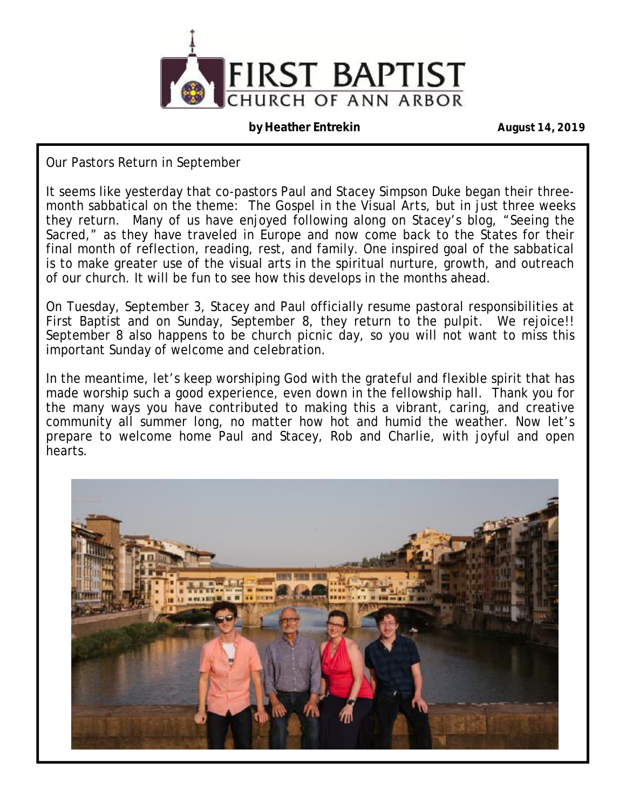

#### **by Heather Entrekin August 14, 2019**

Our Pastors Return in September

It seems like yesterday that co-pastors Paul and Stacey Simpson Duke began their threemonth sabbatical on the theme: *The Gospel in the Visual Arts,* but in just three weeks they return. Many of us have enjoyed following along on Stacey's blog, "Seeing the Sacred," as they have traveled in Europe and now come back to the States for their final month of reflection, reading, rest, and family. One inspired goal of the sabbatical is to make greater use of the visual arts in the spiritual nurture, growth, and outreach of our church. It will be fun to see how this develops in the months ahead.

On Tuesday, September 3, Stacey and Paul officially resume pastoral responsibilities at First Baptist and on Sunday, September 8, they return to the pulpit. We rejoice!! September 8 also happens to be church picnic day, so you will not want to miss this important Sunday of welcome and celebration.

In the meantime, let's keep worshiping God with the grateful and flexible spirit that has made worship such a good experience, even down in the fellowship hall. Thank you for the many ways you have contributed to making this a vibrant, caring, and creative community all summer long, no matter how hot and humid the weather. Now let's prepare to welcome home Paul and Stacey, Rob and Charlie, with joyful and open hearts.

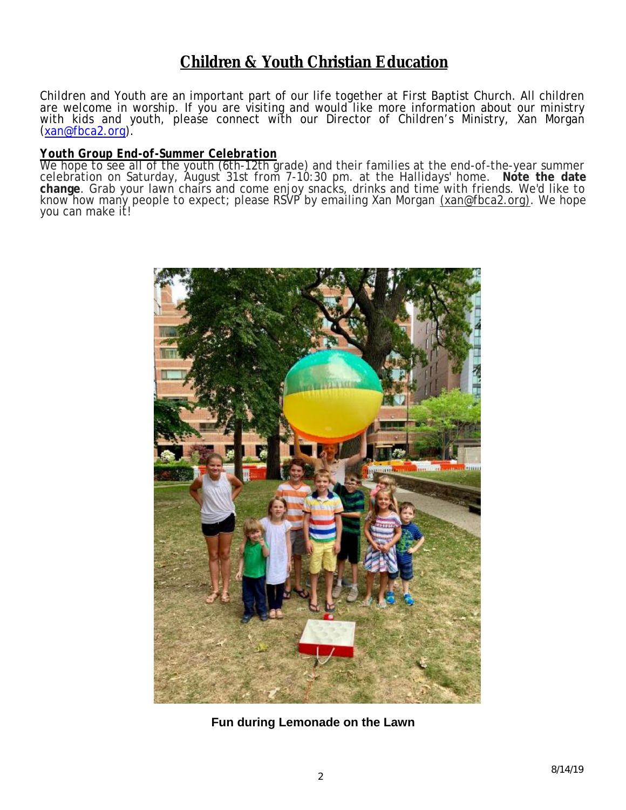## **Children & Youth Christian Education**

Children and Youth are an important part of our life together at First Baptist Church. All children are welcome in worship. If you are visiting and would like more information about our ministry with kids and youth, please connect with our Director of Children's Ministry, Xan Morgan ([xan@fbca2.org\)](mailto:xan@fbca2.org).

#### *Youth Group End-of-Summer Celebration*

We hope to see all of the youth (6th-12th grade) and their families at the end-of-the-year summer celebration on Saturday, August 31st from 7-10:30 pm. at the Hallidays' home. **Note the date change**. Grab your lawn chairs and come enjoy snacks, drinks and time with friends. We'd like to know how many people to expect; please RSVP by emailing Xan Morgan [\(xan@fbca2.org\).](mailto:(xan@fbca2.org)) We hope you can make it!



**Fun during Lemonade on the Lawn**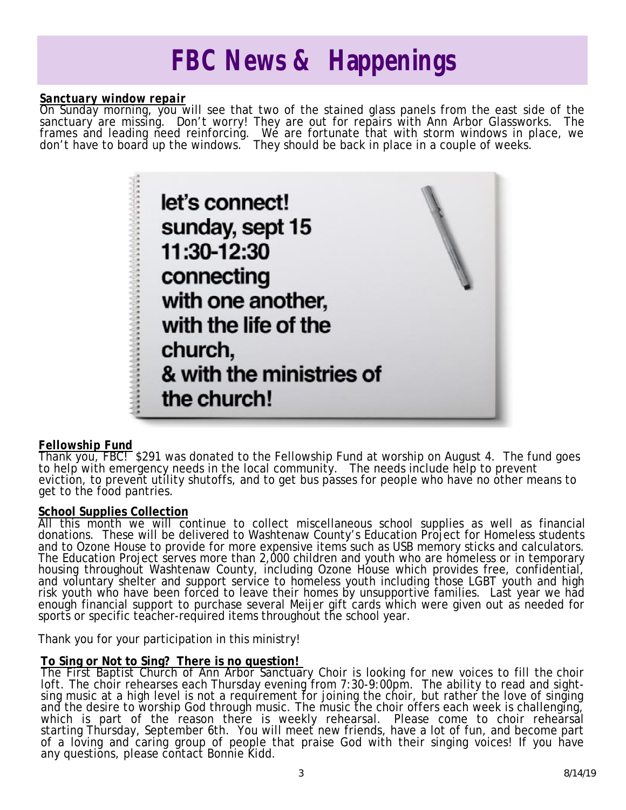# *FBC News & Happenings*

#### *Sanctuary window repair*

On Sunday morning, you will see that two of the stained glass panels from the east side of the sanctuary are missing. Don't worry! They are out for repairs with Ann Arbor Glassworks. The frames and leading need reinforcing. We are fortunate that with storm windows in place, we don't have to board up the windows. They should be back in place in a couple of weeks.



#### *Fellowship Fund*

Thank you, FBC! \$291 was donated to the Fellowship Fund at worship on August 4. The fund goes to help with emergency needs in the local community. The needs include help to prevent eviction, to prevent utility shutoffs, and to get bus passes for people who have no other means to get to the food pantries.

#### **School Supplies Collection**

All this month we will continue to collect miscellaneous school supplies as well as financial donations. These will be delivered to Washtenaw County's Education Project for Homeless students and to Ozone House to provide for more expensive items such as USB memory sticks and calculators. The Education Project serves more than 2,000 children and youth who are homeless or in temporary housing throughout Washtenaw County, including Ozone House which provides free, confidential, and voluntary shelter and support service to homeless youth including those LGBT youth and high risk youth who have been forced to leave their homes by unsupportive families. Last year we had enough financial support to purchase several Meijer gift cards which were given out as needed for sports or specific teacher-required items throughout the school year.

Thank you for your participation in this ministry!

#### **To Sing or Not to Sing? There is no question!**

The First Baptist Church of Ann Arbor Sanctuary Choir is looking for new voices to fill the choir loft. The choir rehearses each Thursday evening from 7:30-9:00pm. The ability to read and sightsing music at a high level is not a requirement for joining the choir, but rather the love of singing and the desire to worship God through music. The music the choir offers each week is challenging, which is part of the reason there is weekly rehearsal. Please come to choir rehearsal starting Thursday, September 6th. You will meet new friends, have a lot of fun, and become part of a loving and caring group of people that praise God with their singing voices! If you have any questions, please contact Bonnie Kidd.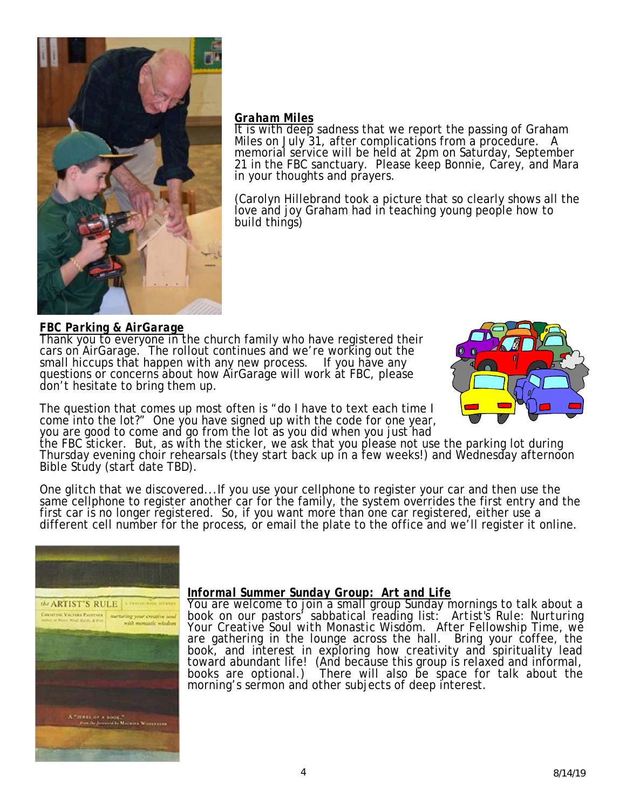

#### *Graham Miles*

It is with deep sadness that we report the passing of Graham Miles on July 31, after complications from a procedure. A memorial service will be held at 2pm on Saturday, September 21 in the FBC sanctuary. Please keep Bonnie, Carey, and Mara in your thoughts and prayers.

(Carolyn Hillebrand took a picture that so clearly shows all the love and joy Graham had in teaching young people how to build things)

#### *FBC Parking & AirGarage*

Thank you to everyone in the church family who have registered their cars on AirGarage. The rollout continues and we're working out the small hiccups that happen with any new process. If you have any questions or concerns about how AirGarage will work at FBC, please don't hesitate to bring them up.



The question that comes up most often is "do I have to text each time I come into the lot?" One you have signed up with the code for one year, you are good to come and go from the lot as you did when you just had

the FBC sticker. But, as with the sticker, we ask that you please not use the parking lot during Thursday evening choir rehearsals (they start back up in a few weeks!) and Wednesday afternoon Bible Study (start date TBD).

One glitch that we discovered...If you use your cellphone to register your car and then use the same cellphone to register another car for the family, the system overrides the first entry and the first car is no longer registered. So, if you want more than one car registered, either use a different cell number for the process, or email the plate to the office and we'll register it online.



#### *Informal Summer Sunday Group: Art and Life*

You are welcome to join a small group Sunday mornings to talk about a book on our pastors' sabbatical reading list: *Artist's Rule: Nurturing Your Creative Soul with Monastic Wisdom.* After Fellowship Time, we are gathering in the lounge across the hall. Bring your coffee, the book, and interest in exploring how creativity and spirituality lead toward abundant life! (And because this group is relaxed and informal, books are optional.) There will also be space for talk about the morning's sermon and other subjects of deep interest.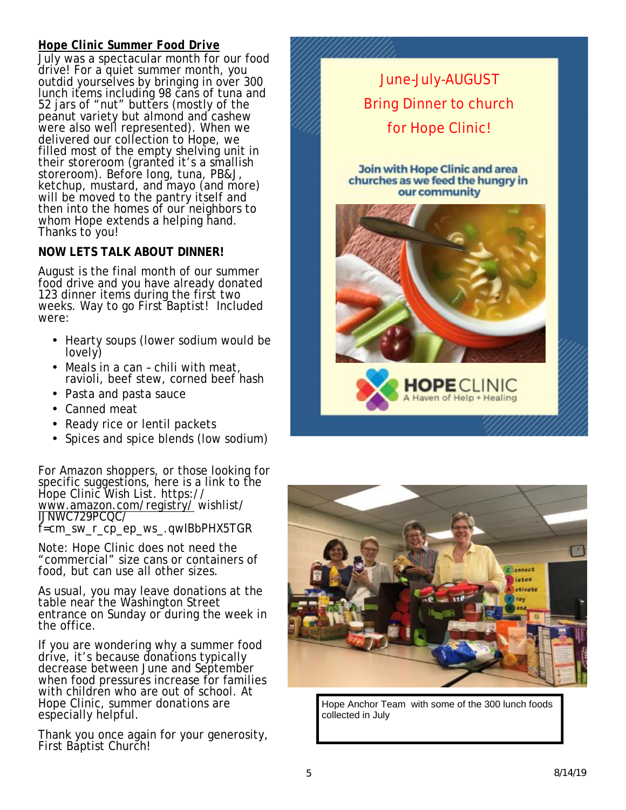### *Hope Clinic Summer Food Drive*

July was a spectacular month for our food drive! For a quiet summer month, you outdid yourselves by bringing in over 300 lunch items including 98 cans of tuna and 52 jars of "nut" butters (mostly of the peanut variety but almond and cashew were also well represented). When we delivered our collection to Hope, we filled most of the empty shelving unit in their storeroom (granted it's a smallish storeroom). Before long, tuna, PB&J, ketchup, mustard, and mayo (and more) will be moved to the pantry itself and then into the homes of our neighbors to whom Hope extends a helping hand. Thanks to you!

### **NOW LETS TALK ABOUT DINNER!**

August is the final month of our summer food drive and you have already donated 123 dinner items during the first two weeks. Way to go First Baptist! Included were:

- Hearty soups (lower sodium would be lovely)
- Meals in a can chili with meat, ravioli, beef stew, corned beef hash
- Pasta and pasta sauce
- Canned meat
- Ready rice or lentil packets
- Spices and spice blends (low sodium)

For Amazon shoppers, or those looking for specific suggestions, here is a link to the Hope Clinic Wish List. https:// [www.amazon.com/registry/](http://www.amazon.com/registry/) wishlist/ IJNWC729PCQC/

f=cm\_sw\_r\_cp\_ep\_ws\_.qwIBbPHX5TGR

Note: Hope Clinic does not need the "commercial" size cans or containers of food, but can use all other sizes.

As usual, you may leave donations at the table near the Washington Street entrance on Sunday or during the week in the office.

If you are wondering why a summer food drive, it's because donations typically decrease between June and September when food pressures increase for families with children who are out of school. At Hope Clinic, summer donations are especially helpful.

Thank you once again for your generosity, First Baptist Church!





Hope Anchor Team with some of the 300 lunch foods collected in July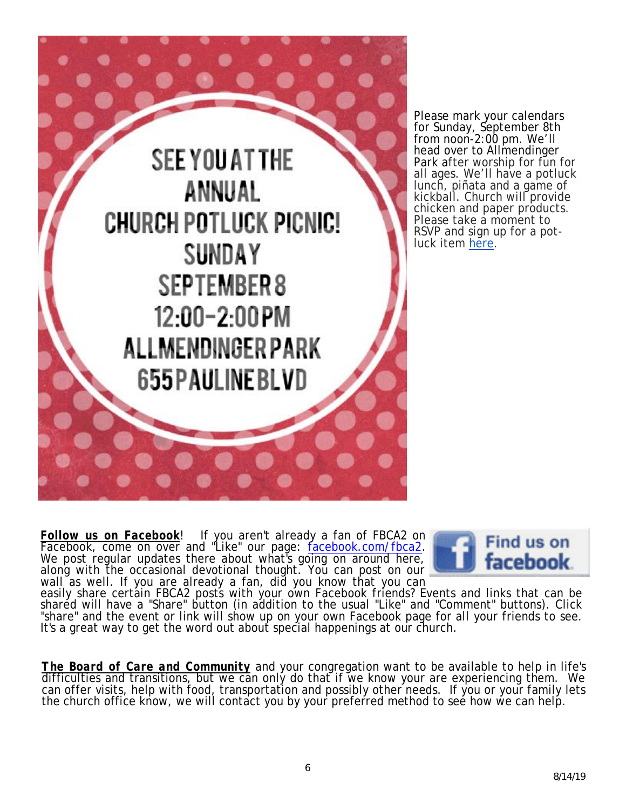

Please mark your calendars for Sunday, September 8th from noon-2:00 pm. We'll head over to Allmendinger Park after worship for fun for all ages. We'll have a potluck lunch, piñata and a game of kickball. Church will provide chicken and paper products. Please take a moment to RSVP and sign up for a potluck item here.

*Follow us on Facebook*! If you aren't already a fan of FBCA2 on Facebook, come on over and "Like" our page: facebook.com/fbca2. We post regular updates there about what's going on around here, along with the occasional devotional thought. You can post on our wall as well. If you are already a fan, did you know that you can



easily share certain FBCA2 posts with your own Facebook friends? Events and links that can be shared will have a "Share" button (in addition to the usual "Like" and "Comment" buttons). Click "share" and the event or link will show up on your own Facebook page for all your friends to see. It's a great way to get the word out about special happenings at our church.

*The Board of Care and Community* and your congregation want to be available to help in life's difficulties and transitions, but we can only do that if we know your are experiencing them. We can offer visits, help with food, transportation and possibly other needs. If you or your family lets the church office know, we will contact you by your preferred method to see how we can help.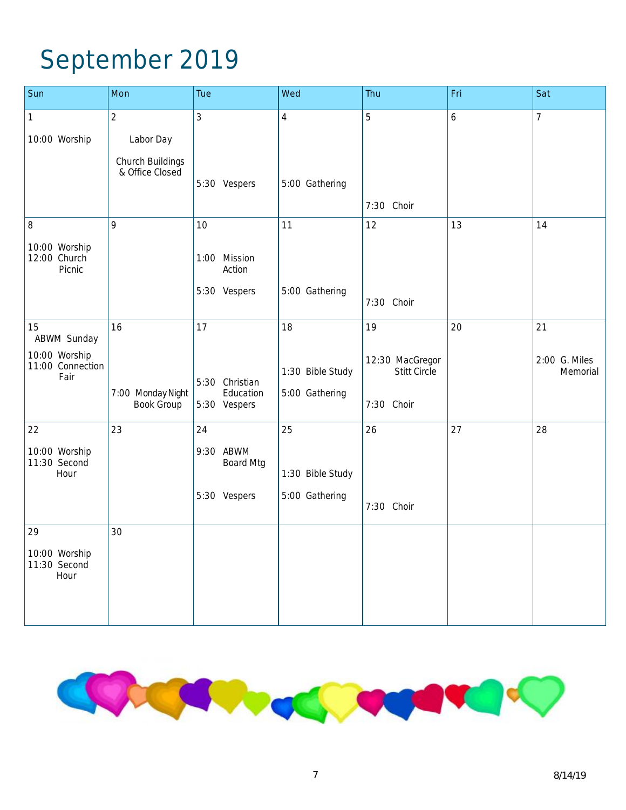# September 2019

| Sun                                       | Mon                                    | Tue                           | Wed              | <b>Thu</b>                      | Fri | Sat                       |
|-------------------------------------------|----------------------------------------|-------------------------------|------------------|---------------------------------|-----|---------------------------|
| $\mathbf{1}$                              | $\overline{2}$                         | 3                             | $\overline{4}$   | 5                               | 6   | $\overline{7}$            |
| 10:00 Worship                             | Labor Day                              |                               |                  |                                 |     |                           |
|                                           | Church Buildings<br>& Office Closed    | 5:30 Vespers                  | 5:00 Gathering   |                                 |     |                           |
|                                           |                                        |                               |                  | 7:30 Choir                      |     |                           |
| 8                                         | 9                                      | 10                            | 11               | 12                              | 13  | 14                        |
|                                           |                                        |                               |                  |                                 |     |                           |
| 10:00 Worship<br>12:00 Church<br>Picnic   |                                        | 1:00 Mission<br>Action        |                  |                                 |     |                           |
|                                           |                                        | 5:30 Vespers                  | 5:00 Gathering   | 7:30 Choir                      |     |                           |
| 15<br><b>ABWM Sunday</b>                  | 16                                     | 17                            | 18               | 19                              | 20  | 21                        |
| 10:00 Worship<br>11:00 Connection<br>Fair |                                        | 5:30 Christian                | 1:30 Bible Study | 12:30 MacGregor<br>Stitt Circle |     | 2:00 G. Miles<br>Memorial |
|                                           | 7:00 Monday Night<br><b>Book Group</b> | Education<br>5:30 Vespers     | 5:00 Gathering   | Choir<br>7:30                   |     |                           |
| 22                                        | 23                                     | 24                            | 25               | 26                              | 27  | 28                        |
| 10:00 Worship<br>11:30 Second<br>Hour     |                                        | 9:30 ABWM<br><b>Board Mtg</b> | 1:30 Bible Study |                                 |     |                           |
|                                           |                                        | 5:30 Vespers                  | 5:00 Gathering   | 7:30 Choir                      |     |                           |
| 29                                        | 30                                     |                               |                  |                                 |     |                           |
| 10:00 Worship<br>11:30 Second<br>Hour     |                                        |                               |                  |                                 |     |                           |
|                                           |                                        |                               |                  |                                 |     |                           |